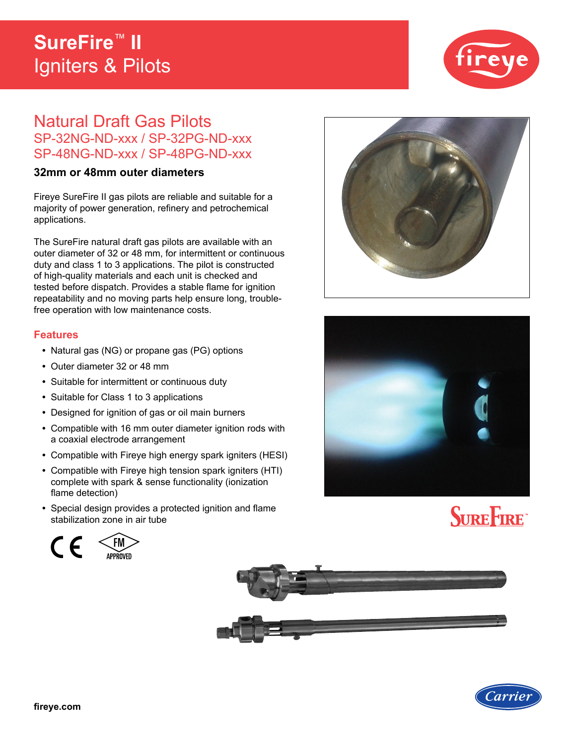## **SureFire**™ **II**  Igniters & Pilots



# Natural Draft Gas Pilots SP-32NG-ND-xxx / SP-32PG-ND-xxx SP-48NG-ND-xxx / SP-48PG-ND-xxx

### **32mm or 48mm outer diameters**

Fireye SureFire II gas pilots are reliable and suitable for a majority of power generation, refinery and petrochemical applications.

The SureFire natural draft gas pilots are available with an outer diameter of 32 or 48 mm, for intermittent or continuous duty and class 1 to 3 applications. The pilot is constructed of high-quality materials and each unit is checked and tested before dispatch. Provides a stable flame for ignition repeatability and no moving parts help ensure long, troublefree operation with low maintenance costs.

#### **Features**

- **•** Natural gas (NG) or propane gas (PG) options
- **•** Outer diameter 32 or 48 mm
- **•** Suitable for intermittent or continuous duty
- **•** Suitable for Class 1 to 3 applications
- **•** Designed for ignition of gas or oil main burners
- **•** Compatible with 16 mm outer diameter ignition rods with a coaxial electrode arrangement
- **•** Compatible with Fireye high energy spark igniters (HESI)
- **•** Compatible with Fireye high tension spark igniters (HTI) complete with spark & sense functionality (ionization flame detection)
- **•** Special design provides a protected ignition and flame stabilization zone in air tube